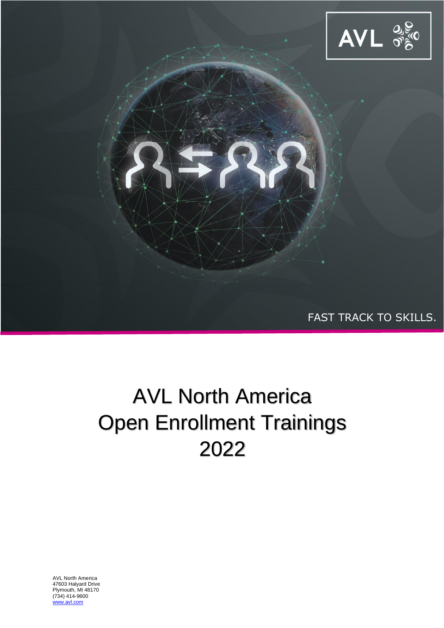

# AVL North America Open Enrollment Trainings 2022

AVL North America 47603 Halyard Drive Plymouth, MI 48170 (734) 414-9600 .avl.com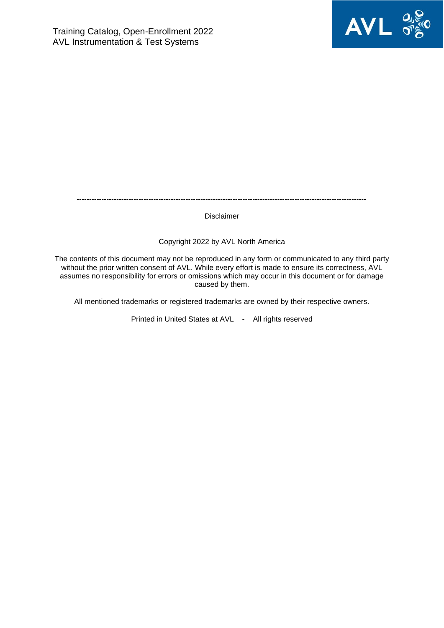

---------------------------------------------------------------------------------------------------------------------

Disclaimer

#### Copyright 2022 by AVL North America

The contents of this document may not be reproduced in any form or communicated to any third party without the prior written consent of AVL. While every effort is made to ensure its correctness, AVL assumes no responsibility for errors or omissions which may occur in this document or for damage caused by them.

All mentioned trademarks or registered trademarks are owned by their respective owners.

Printed in United States at AVL - All rights reserved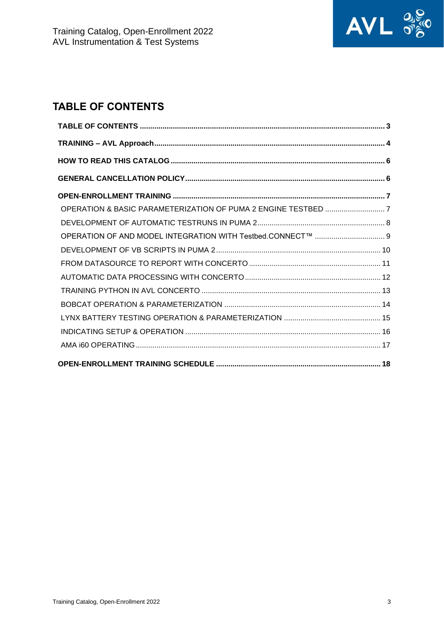

## <span id="page-2-0"></span>**TABLE OF CONTENTS**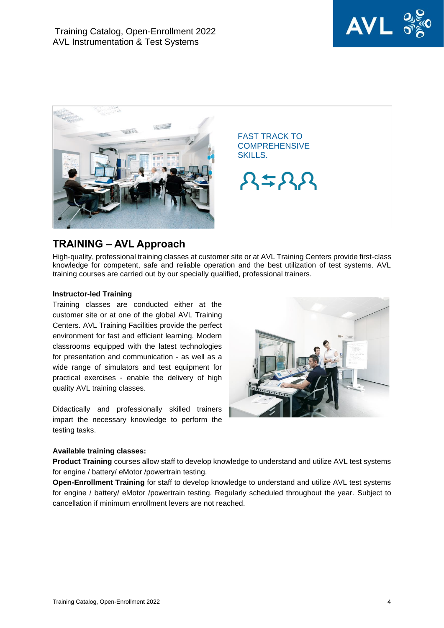



## <span id="page-3-0"></span>**TRAINING – AVL Approach**

High-quality, professional training classes at customer site or at AVL Training Centers provide first-class knowledge for competent, safe and reliable operation and the best utilization of test systems. AVL training courses are carried out by our specially qualified, professional trainers.

#### **Instructor-led Training**

Training classes are conducted either at the customer site or at one of the global AVL Training Centers. AVL Training Facilities provide the perfect environment for fast and efficient learning. Modern classrooms equipped with the latest technologies for presentation and communication - as well as a wide range of simulators and test equipment for practical exercises - enable the delivery of high quality AVL training classes.

Didactically and professionally skilled trainers impart the necessary knowledge to perform the testing tasks.

#### **Available training classes:**

**Product Training** courses allow staff to develop knowledge to understand and utilize AVL test systems for engine / battery/ eMotor /powertrain testing.

**Open-Enrollment Training** for staff to develop knowledge to understand and utilize AVL test systems for engine / battery/ eMotor /powertrain testing. Regularly scheduled throughout the year. Subject to cancellation if minimum enrollment levers are not reached.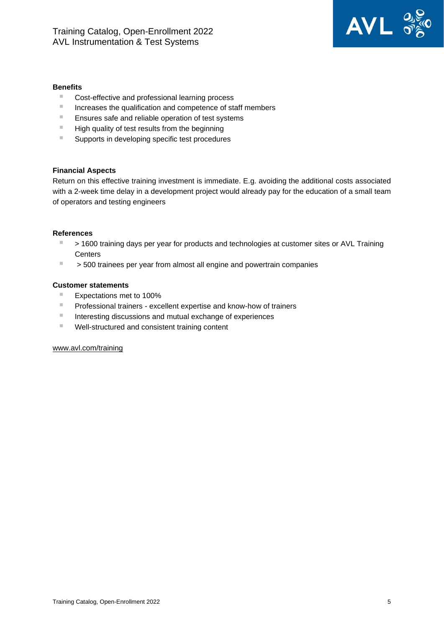

#### **Benefits**

- Cost-effective and professional learning process
- Increases the qualification and competence of staff members
- Ensures safe and reliable operation of test systems
- High quality of test results from the beginning
- Supports in developing specific test procedures

#### **Financial Aspects**

Return on this effective training investment is immediate. E.g. avoiding the additional costs associated with a 2-week time delay in a development project would already pay for the education of a small team of operators and testing engineers

#### **References**

- > 1600 training days per year for products and technologies at customer sites or AVL Training **Centers**
- > 500 trainees per year from almost all engine and powertrain companies

#### **Customer statements**

- Expectations met to 100%
- Professional trainers excellent expertise and know-how of trainers
- Interesting discussions and mutual exchange of experiences
- Well-structured and consistent training content

#### [www.avl.com/training](http://www.avl.com/training)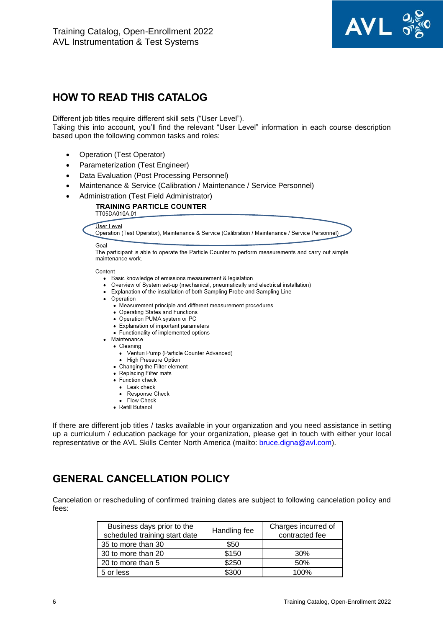

## <span id="page-5-0"></span>**HOW TO READ THIS CATALOG**

Different job titles require different skill sets ("User Level").

Taking this into account, you'll find the relevant "User Level" information in each course description based upon the following common tasks and roles:

- Operation (Test Operator)
- Parameterization (Test Engineer)
- Data Evaluation (Post Processing Personnel)
- Maintenance & Service (Calibration / Maintenance / Service Personnel)
- Administration (Test Field Administrator)

**TRAINING PARTICLE COUNTER** TT05DA010A.01

#### User Level

Operation (Test Operator), Maintenance & Service (Calibration / Maintenance / Service Personnel)

#### Goal

The participant is able to operate the Particle Counter to perform measurements and carry out simple maintenance work.

#### Content

- Basic knowledge of emissions measurement & legislation
- Overview of System set-up (mechanical, pneumatically and electrical installation)
- Explanation of the installation of both Sampling Probe and Sampling Line
- Operation
	- Measurement principle and different measurement procedures
	- Operating States and Functions
	- Operation PUMA system or PC
	- Explanation of important parameters
	- Functionality of implemented options
- · Maintenance
	- Cleaning
		- Venturi Pump (Particle Counter Advanced)
		- · High Pressure Option
	- Changing the Filter element
	- Replacing Filter mats
	- Function check
		- Leak check
		- Response Check
		- Flow Check
	- · Refill Butanol

If there are different job titles / tasks available in your organization and you need assistance in setting up a curriculum / education package for your organization, please get in touch with either your local representative or the AVL Skills Center North America (mailto: [bruce.digna@avl.com\)](mailto:bruce.digna@avl.com).

## <span id="page-5-1"></span>**GENERAL CANCELLATION POLICY**

Cancelation or rescheduling of confirmed training dates are subject to following cancelation policy and fees:

| Business days prior to the<br>scheduled training start date | Handling fee | Charges incurred of<br>contracted fee |
|-------------------------------------------------------------|--------------|---------------------------------------|
| 35 to more than 30                                          | \$50         |                                       |
| 30 to more than 20                                          | \$150        | 30%                                   |
| 20 to more than 5                                           | \$250        | 50%                                   |
| 5 or less                                                   | \$300        | 100%                                  |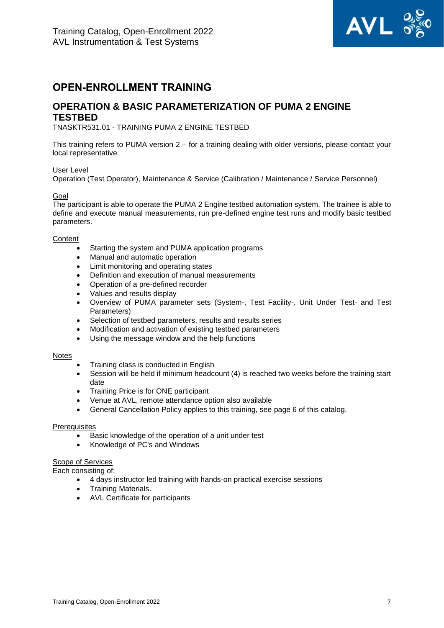

## <span id="page-6-0"></span>**OPEN-ENROLLMENT TRAINING**

## <span id="page-6-1"></span>**OPERATION & BASIC PARAMETERIZATION OF PUMA 2 ENGINE TESTBED**

TNASKTR531.01 - TRAINING PUMA 2 ENGINE TESTBED

This training refers to PUMA version 2 – for a training dealing with older versions, please contact your local representative.

#### User Level

Operation (Test Operator), Maintenance & Service (Calibration / Maintenance / Service Personnel)

#### <u>Goal</u>

The participant is able to operate the PUMA 2 Engine testbed automation system. The trainee is able to define and execute manual measurements, run pre-defined engine test runs and modify basic testbed parameters.

#### **Content**

- Starting the system and PUMA application programs
- Manual and automatic operation
- Limit monitoring and operating states
- Definition and execution of manual measurements
- Operation of a pre-defined recorder
- Values and results display
- Overview of PUMA parameter sets (System-, Test Facility-, Unit Under Test- and Test Parameters)
- Selection of testbed parameters, results and results series
- Modification and activation of existing testbed parameters
- Using the message window and the help functions

#### **Notes**

- Training class is conducted in English
- Session will be held if minimum headcount (4) is reached two weeks before the training start date
- Training Price is for ONE participant
- Venue at AVL, remote attendance option also available
- General Cancellation Policy applies to this training, see page 6 of this catalog.

#### **Prerequisites**

- Basic knowledge of the operation of a unit under test
- Knowledge of PC's and Windows

#### Scope of Services

- 4 days instructor led training with hands-on practical exercise sessions
- Training Materials.
- AVL Certificate for participants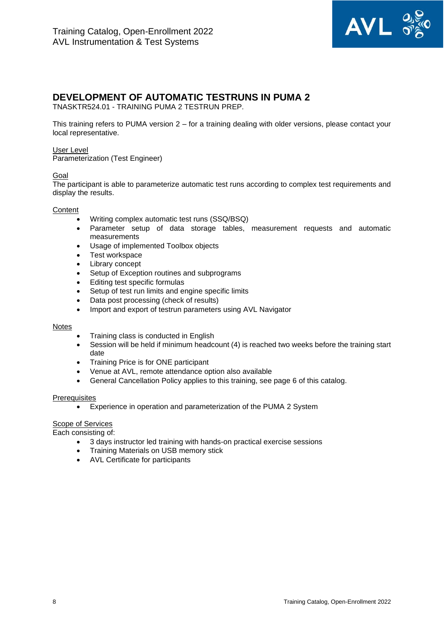

## <span id="page-7-0"></span>**DEVELOPMENT OF AUTOMATIC TESTRUNS IN PUMA 2**

TNASKTR524.01 - TRAINING PUMA 2 TESTRUN PREP.

This training refers to PUMA version 2 – for a training dealing with older versions, please contact your local representative.

#### User Level

Parameterization (Test Engineer)

#### Goal

The participant is able to parameterize automatic test runs according to complex test requirements and display the results.

#### **Content**

- Writing complex automatic test runs (SSQ/BSQ)
- Parameter setup of data storage tables, measurement requests and automatic measurements
- Usage of implemented Toolbox objects
- Test workspace
- Library concept
- Setup of Exception routines and subprograms
- Editing test specific formulas
- Setup of test run limits and engine specific limits
- Data post processing (check of results)
- Import and export of testrun parameters using AVL Navigator

#### Notes

- Training class is conducted in English
- Session will be held if minimum headcount (4) is reached two weeks before the training start date
- Training Price is for ONE participant
- Venue at AVL, remote attendance option also available
- General Cancellation Policy applies to this training, see page 6 of this catalog.

#### **Prerequisites**

• Experience in operation and parameterization of the PUMA 2 System

#### Scope of Services

- 3 days instructor led training with hands-on practical exercise sessions
- Training Materials on USB memory stick
- AVL Certificate for participants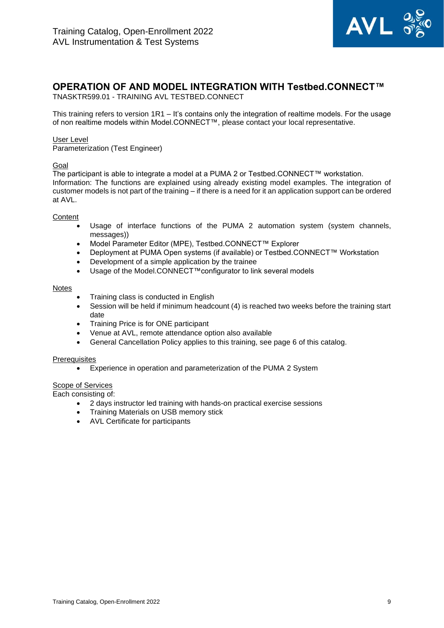

## <span id="page-8-0"></span>**OPERATION OF AND MODEL INTEGRATION WITH Testbed.CONNECT™**

TNASKTR599.01 - TRAINING AVL TESTBED.CONNECT

This training refers to version 1R1 – It's contains only the integration of realtime models. For the usage of non realtime models within Model.CONNECT™, please contact your local representative.

#### User Level

Parameterization (Test Engineer)

#### Goal

The participant is able to integrate a model at a PUMA 2 or Testbed.CONNECT™ workstation. Information: The functions are explained using already existing model examples. The integration of customer models is not part of the training – if there is a need for it an application support can be ordered at AVL.

#### **Content**

- Usage of interface functions of the PUMA 2 automation system (system channels, messages)
- Model Parameter Editor (MPE), Testbed.CONNECT™ Explorer
- Deployment at PUMA Open systems (if available) or Testbed.CONNECT™ Workstation
- Development of a simple application by the trainee
- Usage of the Model.CONNECT™configurator to link several models

#### **Notes**

- Training class is conducted in English
- Session will be held if minimum headcount (4) is reached two weeks before the training start date
- Training Price is for ONE participant
- Venue at AVL, remote attendance option also available
- General Cancellation Policy applies to this training, see page 6 of this catalog.

#### **Prerequisites**

• Experience in operation and parameterization of the PUMA 2 System

#### Scope of Services

- 2 days instructor led training with hands-on practical exercise sessions
- Training Materials on USB memory stick
- AVL Certificate for participants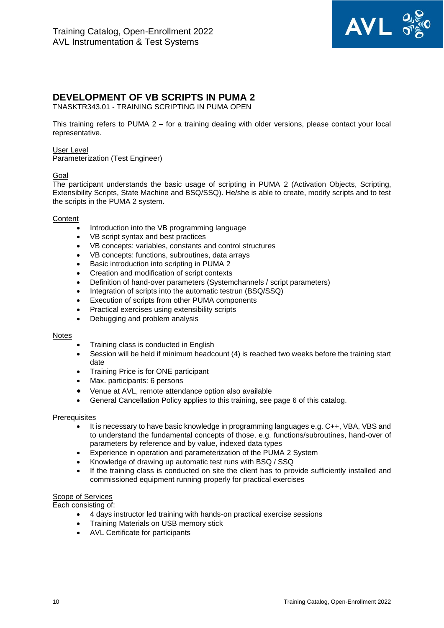

## <span id="page-9-0"></span>**DEVELOPMENT OF VB SCRIPTS IN PUMA 2**

TNASKTR343.01 - TRAINING SCRIPTING IN PUMA OPEN

This training refers to PUMA 2 – for a training dealing with older versions, please contact your local representative.

#### User Level

Parameterization (Test Engineer)

#### Goal

The participant understands the basic usage of scripting in PUMA 2 (Activation Objects, Scripting, Extensibility Scripts, State Machine and BSQ/SSQ). He/she is able to create, modify scripts and to test the scripts in the PUMA 2 system.

#### **Content**

- Introduction into the VB programming language
- VB script syntax and best practices
- VB concepts: variables, constants and control structures
- VB concepts: functions, subroutines, data arrays
- Basic introduction into scripting in PUMA 2
- Creation and modification of script contexts
- Definition of hand-over parameters (Systemchannels / script parameters)
- Integration of scripts into the automatic testrun (BSQ/SSQ)
- Execution of scripts from other PUMA components
- Practical exercises using extensibility scripts
- Debugging and problem analysis

#### **Notes**

- Training class is conducted in English
- Session will be held if minimum headcount (4) is reached two weeks before the training start date
- Training Price is for ONE participant
- Max. participants: 6 persons
- Venue at AVL, remote attendance option also available
- General Cancellation Policy applies to this training, see page 6 of this catalog.

#### **Prerequisites**

- It is necessary to have basic knowledge in programming languages e.g. C++, VBA, VBS and to understand the fundamental concepts of those, e.g. functions/subroutines, hand-over of parameters by reference and by value, indexed data types
- Experience in operation and parameterization of the PUMA 2 System
- Knowledge of drawing up automatic test runs with BSQ / SSQ
- If the training class is conducted on site the client has to provide sufficiently installed and commissioned equipment running properly for practical exercises

#### Scope of Services

- 4 days instructor led training with hands-on practical exercise sessions
- Training Materials on USB memory stick
- AVL Certificate for participants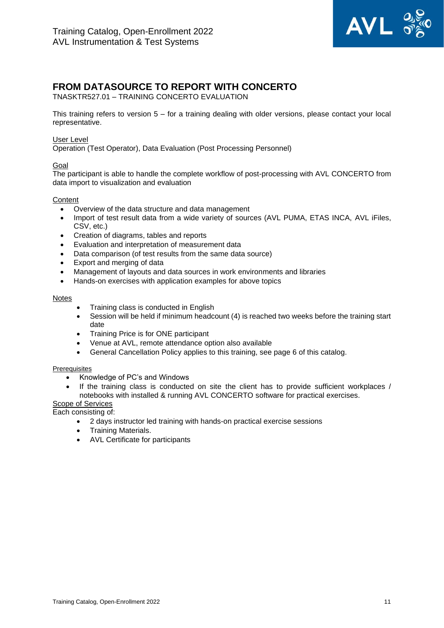

## <span id="page-10-0"></span>**FROM DATASOURCE TO REPORT WITH CONCERTO**

TNASKTR527.01 – TRAINING CONCERTO EVALUATION

This training refers to version 5 – for a training dealing with older versions, please contact your local representative.

#### User Level

Operation (Test Operator), Data Evaluation (Post Processing Personnel)

#### Goal

The participant is able to handle the complete workflow of post-processing with AVL CONCERTO from data import to visualization and evaluation

#### **Content**

- Overview of the data structure and data management
- Import of test result data from a wide variety of sources (AVL PUMA, ETAS INCA, AVL iFiles, CSV, etc.)
- Creation of diagrams, tables and reports
- Evaluation and interpretation of measurement data
- Data comparison (of test results from the same data source)
- Export and merging of data
- Management of layouts and data sources in work environments and libraries
- Hands-on exercises with application examples for above topics

#### Notes

- Training class is conducted in English
- Session will be held if minimum headcount (4) is reached two weeks before the training start date
- Training Price is for ONE participant
- Venue at AVL, remote attendance option also available
- General Cancellation Policy applies to this training, see page 6 of this catalog.

#### **Prerequisites**

- Knowledge of PC's and Windows
- If the training class is conducted on site the client has to provide sufficient workplaces / notebooks with installed & running AVL CONCERTO software for practical exercises.

Scope of Services

- 2 days instructor led training with hands-on practical exercise sessions
- Training Materials.
- AVL Certificate for participants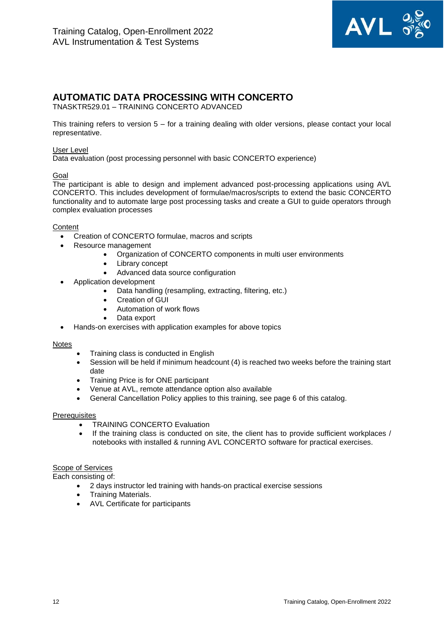

## <span id="page-11-0"></span>**AUTOMATIC DATA PROCESSING WITH CONCERTO**

TNASKTR529.01 – TRAINING CONCERTO ADVANCED

This training refers to version 5 – for a training dealing with older versions, please contact your local representative.

#### User Level

Data evaluation (post processing personnel with basic CONCERTO experience)

#### Goal

The participant is able to design and implement advanced post-processing applications using AVL CONCERTO. This includes development of formulae/macros/scripts to extend the basic CONCERTO functionality and to automate large post processing tasks and create a GUI to guide operators through complex evaluation processes

#### **Content**

- Creation of CONCERTO formulae, macros and scripts
- Resource management
	- Organization of CONCERTO components in multi user environments
	- Library concept
		- Advanced data source configuration
- Application development
	- Data handling (resampling, extracting, filtering, etc.)
	- Creation of GUI
	- Automation of work flows
	- Data export
- Hands-on exercises with application examples for above topics

#### **Notes**

- Training class is conducted in English
- Session will be held if minimum headcount (4) is reached two weeks before the training start date
- Training Price is for ONE participant
- Venue at AVL, remote attendance option also available
- General Cancellation Policy applies to this training, see page 6 of this catalog.

#### **Prerequisites**

- **TRAINING CONCERTO Evaluation**
- If the training class is conducted on site, the client has to provide sufficient workplaces / notebooks with installed & running AVL CONCERTO software for practical exercises.

#### Scope of Services

- 2 days instructor led training with hands-on practical exercise sessions
- Training Materials.
- AVL Certificate for participants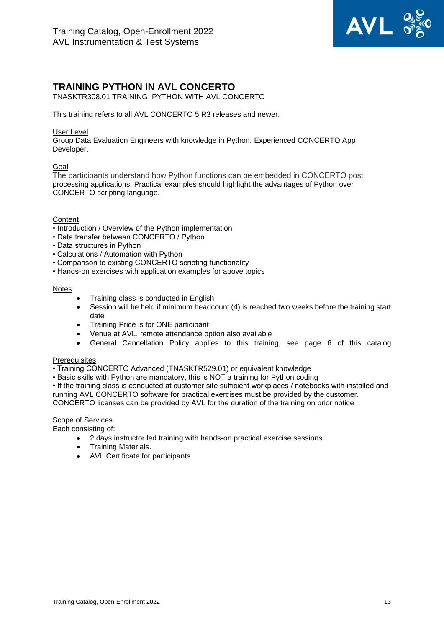

## <span id="page-12-0"></span>**TRAINING PYTHON IN AVL CONCERTO**

TNASKTR308.01 TRAINING: PYTHON WITH AVL CONCERTO

This training refers to all AVL CONCERTO 5 R3 releases and newer.

#### User Level

Group Data Evaluation Engineers with knowledge in Python. Experienced CONCERTO App Developer.

#### Goal

The participants understand how Python functions can be embedded in CONCERTO post processing applications. Practical examples should highlight the advantages of Python over CONCERTO scripting language.

#### **Content**

- Introduction / Overview of the Python implementation
- Data transfer between CONCERTO / Python
- Data structures in Python
- Calculations / Automation with Python
- Comparison to existing CONCERTO scripting functionality
- Hands-on exercises with application examples for above topics

#### Notes

- Training class is conducted in English
- Session will be held if minimum headcount (4) is reached two weeks before the training start date
- Training Price is for ONE participant
- Venue at AVL, remote attendance option also available
- General Cancellation Policy applies to this training, see page 6 of this catalog

#### **Prerequisites**

- Training CONCERTO Advanced (TNASKTR529.01) or equivalent knowledge
- Basic skills with Python are mandatory, this is NOT a training for Python coding
- If the training class is conducted at customer site sufficient workplaces / notebooks with installed and running AVL CONCERTO software for practical exercises must be provided by the customer.

CONCERTO licenses can be provided by AVL for the duration of the training on prior notice

#### Scope of Services

- 2 days instructor led training with hands-on practical exercise sessions
- Training Materials.
- AVL Certificate for participants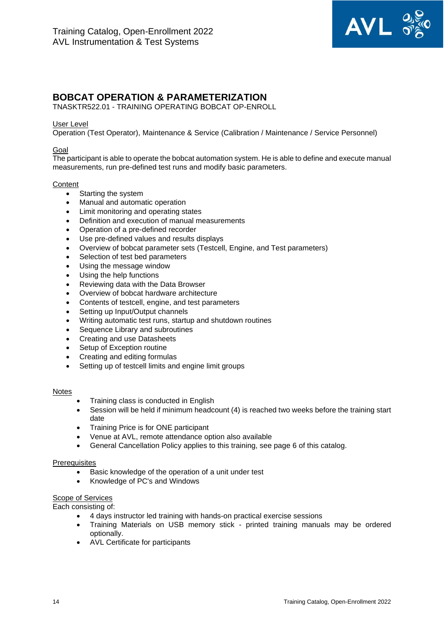

## <span id="page-13-0"></span>**BOBCAT OPERATION & PARAMETERIZATION**

TNASKTR522.01 - TRAINING OPERATING BOBCAT OP-ENROLL

#### User Level

Operation (Test Operator), Maintenance & Service (Calibration / Maintenance / Service Personnel)

#### Goal

The participant is able to operate the bobcat automation system. He is able to define and execute manual measurements, run pre-defined test runs and modify basic parameters.

#### **Content**

- Starting the system
- Manual and automatic operation
- Limit monitoring and operating states
- Definition and execution of manual measurements
- Operation of a pre-defined recorder
- Use pre-defined values and results displays
- Overview of bobcat parameter sets (Testcell, Engine, and Test parameters)
- Selection of test bed parameters
- Using the message window
- Using the help functions
- Reviewing data with the Data Browser
- Overview of bobcat hardware architecture
- Contents of testcell, engine, and test parameters
- Setting up Input/Output channels
- Writing automatic test runs, startup and shutdown routines
- Sequence Library and subroutines
- Creating and use Datasheets
- Setup of Exception routine
- Creating and editing formulas
- Setting up of testcell limits and engine limit groups

#### Notes

- Training class is conducted in English
- Session will be held if minimum headcount (4) is reached two weeks before the training start date
- Training Price is for ONE participant
- Venue at AVL, remote attendance option also available
- General Cancellation Policy applies to this training, see page 6 of this catalog.

#### **Prerequisites**

- Basic knowledge of the operation of a unit under test
- Knowledge of PC's and Windows

#### Scope of Services

- 4 days instructor led training with hands-on practical exercise sessions
- Training Materials on USB memory stick printed training manuals may be ordered optionally.
- AVL Certificate for participants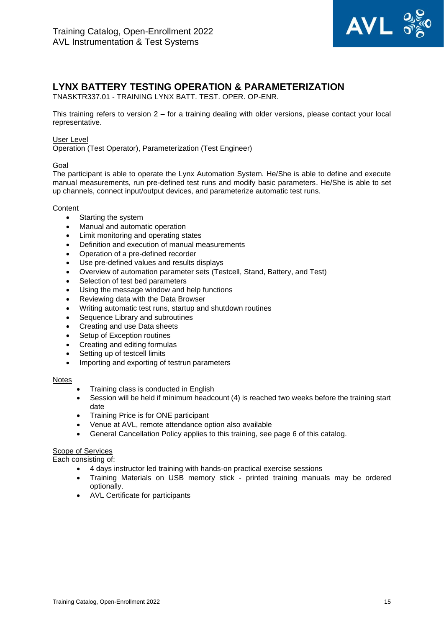

## <span id="page-14-0"></span>**LYNX BATTERY TESTING OPERATION & PARAMETERIZATION**

TNASKTR337.01 - TRAINING LYNX BATT. TEST. OPER. OP-ENR.

This training refers to version 2 – for a training dealing with older versions, please contact your local representative.

#### User Level

Operation (Test Operator), Parameterization (Test Engineer)

#### Goal

The participant is able to operate the Lynx Automation System. He/She is able to define and execute manual measurements, run pre-defined test runs and modify basic parameters. He/She is able to set up channels, connect input/output devices, and parameterize automatic test runs.

#### **Content**

- Starting the system
- Manual and automatic operation
- Limit monitoring and operating states
- Definition and execution of manual measurements
- Operation of a pre-defined recorder
- Use pre-defined values and results displays
- Overview of automation parameter sets (Testcell, Stand, Battery, and Test)
- Selection of test bed parameters
- Using the message window and help functions
- Reviewing data with the Data Browser
- Writing automatic test runs, startup and shutdown routines
- Sequence Library and subroutines
- Creating and use Data sheets
- Setup of Exception routines
- Creating and editing formulas
- Setting up of testcell limits
- Importing and exporting of testrun parameters

#### Notes

- Training class is conducted in English
- Session will be held if minimum headcount (4) is reached two weeks before the training start date
- Training Price is for ONE participant
- Venue at AVL, remote attendance option also available
- General Cancellation Policy applies to this training, see page 6 of this catalog.

#### **Scope of Services**

- 4 days instructor led training with hands-on practical exercise sessions
- Training Materials on USB memory stick printed training manuals may be ordered optionally.
- AVL Certificate for participants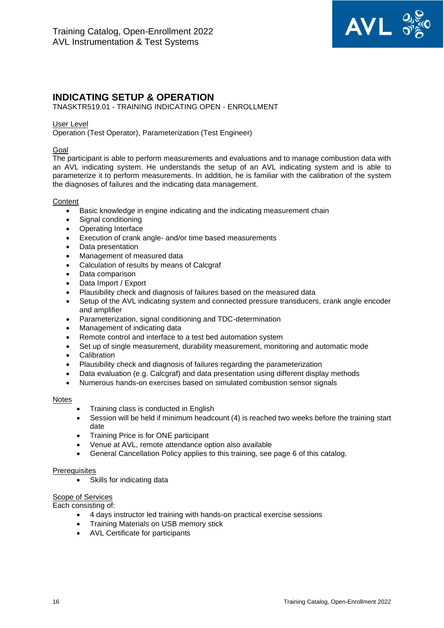

## <span id="page-15-0"></span>**INDICATING SETUP & OPERATION**

TNASKTR519.01 - TRAINING INDICATING OPEN - ENROLLMENT

#### User Level

Operation (Test Operator), Parameterization (Test Engineer)

#### Goal

The participant is able to perform measurements and evaluations and to manage combustion data with an AVL indicating system. He understands the setup of an AVL indicating system and is able to parameterize it to perform measurements. In addition, he is familiar with the calibration of the system the diagnoses of failures and the indicating data management.

#### **Content**

- Basic knowledge in engine indicating and the indicating measurement chain
- Signal conditioning
- Operating Interface
- Execution of crank angle- and/or time based measurements
- Data presentation
- Management of measured data
- Calculation of results by means of Calcgraf
- Data comparison
- Data Import / Export
- Plausibility check and diagnosis of failures based on the measured data
- Setup of the AVL indicating system and connected pressure transducers, crank angle encoder and amplifier
- Parameterization, signal conditioning and TDC-determination
- Management of indicating data
- Remote control and interface to a test bed automation system
- Set up of single measurement, durability measurement, monitoring and automatic mode
- **Calibration**
- Plausibility check and diagnosis of failures regarding the parameterization
- Data evaluation (e.g. Calcgraf) and data presentation using different display methods
- Numerous hands-on exercises based on simulated combustion sensor signals

#### **Notes**

- Training class is conducted in English
- Session will be held if minimum headcount (4) is reached two weeks before the training start date
- Training Price is for ONE participant
- Venue at AVL, remote attendance option also available
- General Cancellation Policy applies to this training, see page 6 of this catalog.

#### **Prerequisites**

• Skills for indicating data

#### Scope of Services

- 4 days instructor led training with hands-on practical exercise sessions
- Training Materials on USB memory stick
- AVL Certificate for participants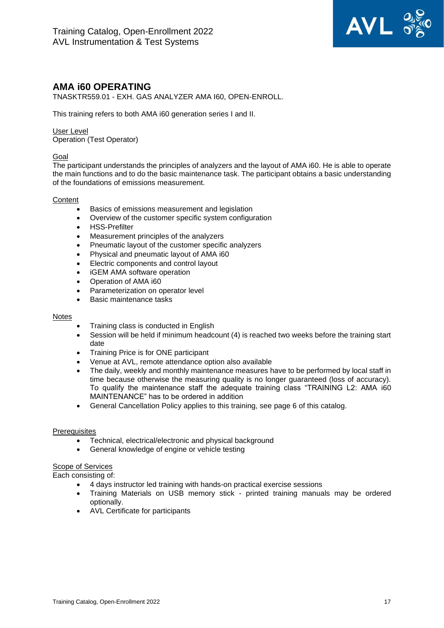

## <span id="page-16-0"></span>**AMA i60 OPERATING**

TNASKTR559.01 - EXH. GAS ANALYZER AMA I60, OPEN-ENROLL.

This training refers to both AMA i60 generation series I and II.

User Level Operation (Test Operator)

#### Goal

The participant understands the principles of analyzers and the layout of AMA i60. He is able to operate the main functions and to do the basic maintenance task. The participant obtains a basic understanding of the foundations of emissions measurement.

#### **Content**

- Basics of emissions measurement and legislation
- Overview of the customer specific system configuration
- HSS-Prefilter
- Measurement principles of the analyzers
- Pneumatic layout of the customer specific analyzers
- Physical and pneumatic layout of AMA i60
- Electric components and control layout
- iGEM AMA software operation
- Operation of AMA i60
- Parameterization on operator level
- Basic maintenance tasks

#### Notes

- Training class is conducted in English
- Session will be held if minimum headcount (4) is reached two weeks before the training start date
- Training Price is for ONE participant
- Venue at AVL, remote attendance option also available
- The daily, weekly and monthly maintenance measures have to be performed by local staff in time because otherwise the measuring quality is no longer guaranteed (loss of accuracy). To qualify the maintenance staff the adequate training class "TRAINING L2: AMA i60 MAINTENANCE" has to be ordered in addition
- General Cancellation Policy applies to this training, see page 6 of this catalog.

#### **Prerequisites**

- Technical, electrical/electronic and physical background
- General knowledge of engine or vehicle testing

#### Scope of Services

- 4 days instructor led training with hands-on practical exercise sessions
- Training Materials on USB memory stick printed training manuals may be ordered optionally.
- AVL Certificate for participants